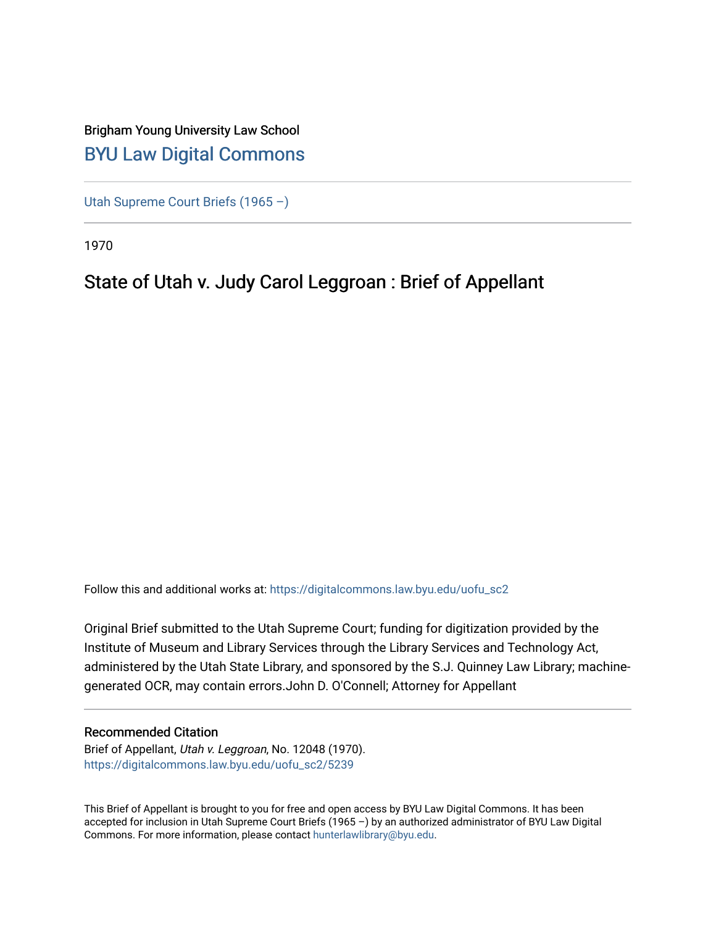# Brigham Young University Law School [BYU Law Digital Commons](https://digitalcommons.law.byu.edu/)

[Utah Supreme Court Briefs \(1965 –\)](https://digitalcommons.law.byu.edu/uofu_sc2)

1970

# State of Utah v. Judy Carol Leggroan : Brief of Appellant

Follow this and additional works at: [https://digitalcommons.law.byu.edu/uofu\\_sc2](https://digitalcommons.law.byu.edu/uofu_sc2?utm_source=digitalcommons.law.byu.edu%2Fuofu_sc2%2F5239&utm_medium=PDF&utm_campaign=PDFCoverPages)

Original Brief submitted to the Utah Supreme Court; funding for digitization provided by the Institute of Museum and Library Services through the Library Services and Technology Act, administered by the Utah State Library, and sponsored by the S.J. Quinney Law Library; machinegenerated OCR, may contain errors.John D. O'Connell; Attorney for Appellant

## Recommended Citation

Brief of Appellant, Utah v. Leggroan, No. 12048 (1970). [https://digitalcommons.law.byu.edu/uofu\\_sc2/5239](https://digitalcommons.law.byu.edu/uofu_sc2/5239?utm_source=digitalcommons.law.byu.edu%2Fuofu_sc2%2F5239&utm_medium=PDF&utm_campaign=PDFCoverPages) 

This Brief of Appellant is brought to you for free and open access by BYU Law Digital Commons. It has been accepted for inclusion in Utah Supreme Court Briefs (1965 –) by an authorized administrator of BYU Law Digital Commons. For more information, please contact [hunterlawlibrary@byu.edu](mailto:hunterlawlibrary@byu.edu).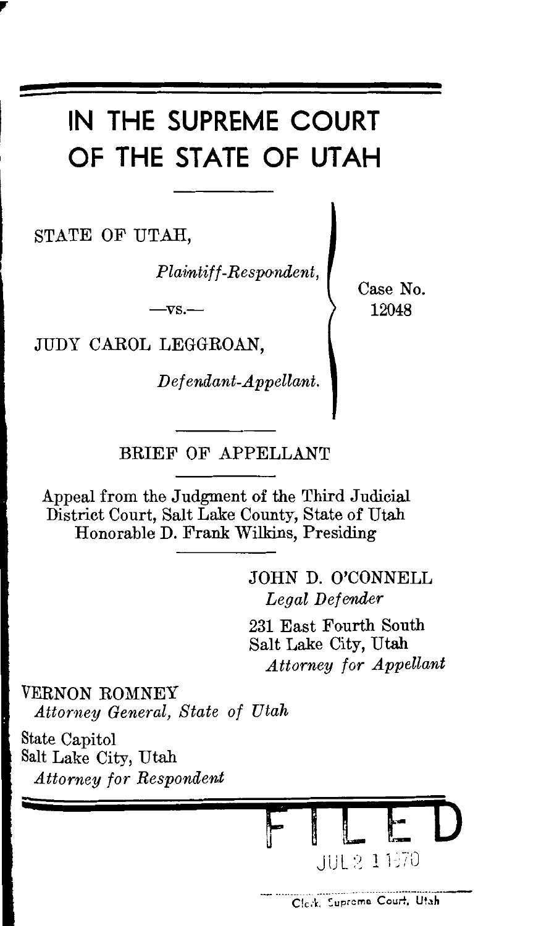# IN THE SUPREME COURT OF THE STATE OF UTAH

STATE OF UTAH,

Plaintiff-Respondent,

 $-\nabla S$ .

JUDY CAROL LEGGROAN.

Defendant-Appellant.

Case No. 12048

BRIEF OF APPELLANT

Appeal from the Judgment of the Third Judicial District Court, Salt Lake County, State of Utah Honorable D. Frank Wilkins, Presiding

> JOHN D. O'CONNELL Legal Defender

231 East Fourth South Salt Lake City, Utah Attorney for Appellant

VERNON ROMNEY Attorney General, State of Utah

State Capitol Salt Lake City, Utah **Attorney for Respondent** 

UUE 2-1 1570

Clerk, Supreme Court, Utah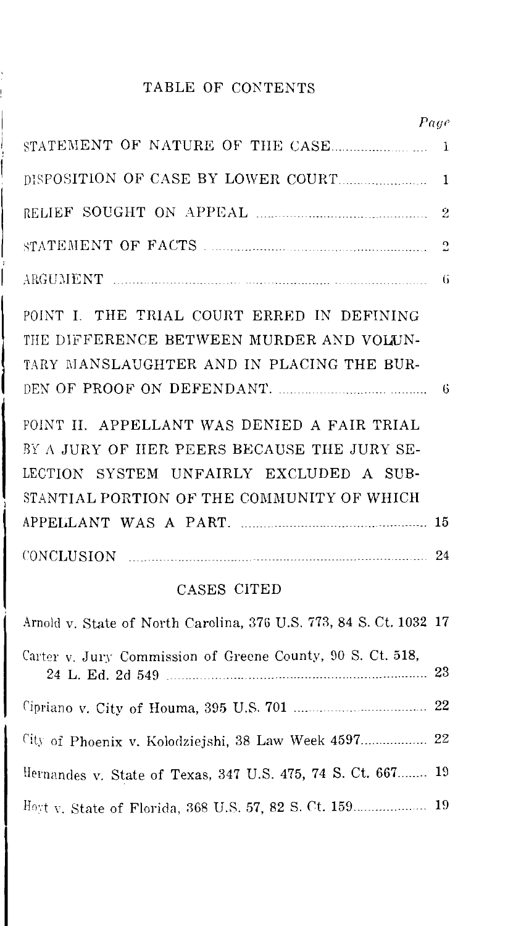### TABLE OF CONTENTS

| Page                                                                                                                                                                                |                |
|-------------------------------------------------------------------------------------------------------------------------------------------------------------------------------------|----------------|
|                                                                                                                                                                                     | 1              |
|                                                                                                                                                                                     | 1              |
|                                                                                                                                                                                     | $\overline{2}$ |
|                                                                                                                                                                                     | $\overline{c}$ |
|                                                                                                                                                                                     | $\mathbf{G}$   |
| POINT I. THE TRIAL COURT ERRED IN DEFINING<br>THE DIFFERENCE BETWEEN MURDER AND VOLUN-<br>TARY MANSLAUGHTER AND IN PLACING THE BUR-                                                 |                |
| POINT II. APPELLANT WAS DENIED A FAIR TRIAL<br>BY A JURY OF HER PEERS BECAUSE THE JURY SE-<br>LECTION SYSTEM UNFAIRLY EXCLUDED A SUB-<br>STANTIAL PORTION OF THE COMMUNITY OF WHICH |                |
|                                                                                                                                                                                     |                |
| CONCLUSION 24                                                                                                                                                                       |                |
| CASES CITED                                                                                                                                                                         |                |
| Arnold v. State of North Carolina, 376 U.S. 773, 84 S. Ct. 1032 17                                                                                                                  |                |
| Carter v. Jury Commission of Greene County, 90 S. Ct. 518,                                                                                                                          |                |
|                                                                                                                                                                                     |                |
| City of Phoenix v. Kolodziejshi, 38 Law Week 4597 22                                                                                                                                |                |
| Hernandes v. State of Texas, 347 U.S. 475, 74 S. Ct. 667                                                                                                                            | 19             |

Hnq \". State of Florida, 368 U.S. 57, 82 S. *Ct.* 159. 19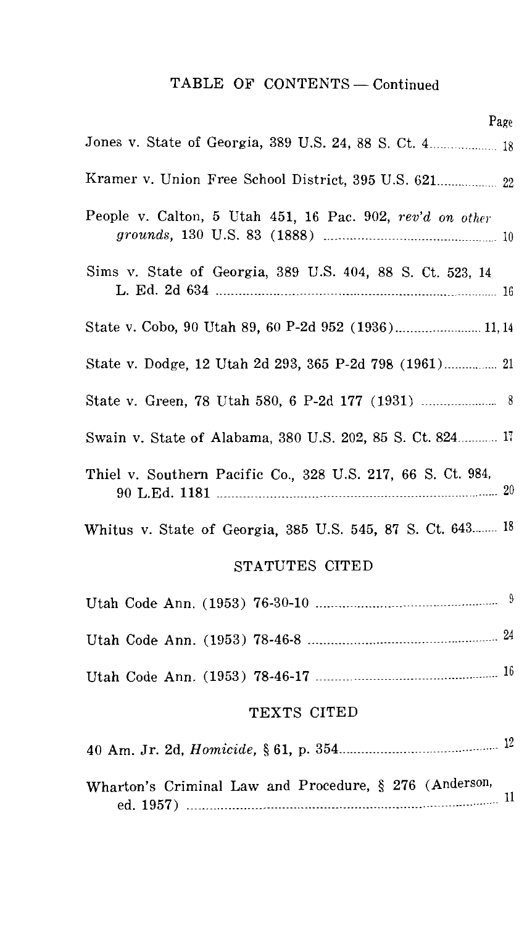## TABLE OF CONTENTS-Continued

| Page                                                        |
|-------------------------------------------------------------|
| Jones v. State of Georgia, 389 U.S. 24, 88 S. Ct. 4 18      |
| Kramer v. Union Free School District, 395 U.S. 621 22       |
| People v. Calton, 5 Utah 451, 16 Pac. 902, rev'd on other   |
| Sims v. State of Georgia, 389 U.S. 404, 88 S. Ct. 523, 14   |
| State v. Cobo, 90 Utah 89, 60 P-2d 952 (1936) 11, 14        |
| State v. Dodge, 12 Utah 2d 293, 365 P-2d 798 (1961) 21      |
| State v. Green, 78 Utah 580, 6 P-2d 177 (1931)  8           |
| Swain v. State of Alabama, 380 U.S. 202, 85 S. Ct. 824 17   |
| Thiel v. Southern Pacific Co., 328 U.S. 217, 66 S. Ct. 984, |
| Whitus v. State of Georgia, 385 U.S. 545, 87 S. Ct. 643 18  |
| STATUTES CITED                                              |
|                                                             |
|                                                             |
|                                                             |
| TEXTS CITED                                                 |
|                                                             |
| Wharton's Criminal Law and Procedure, § 276 (Anderson,      |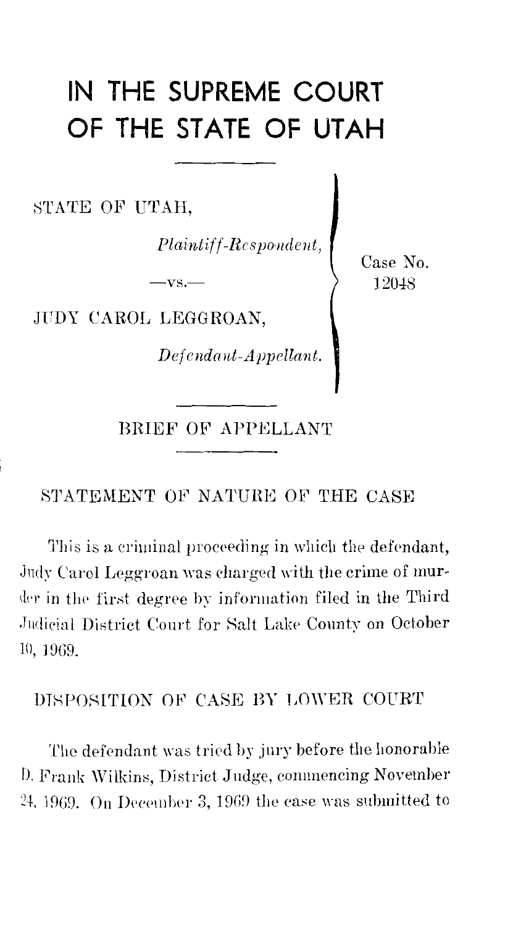# IN THE SUPREME COURT OF THE STATE OF UTAH

STATE OF UTAH,

 $\label{eq:1} Plaintiff-Responent,$ 

 $-vs.$ 

JUDY CAROL LEGGROAN,

 $\label{thm:2} \textit{Defendant-Appellant}.$ 

BRIEF OF APPELLANT

#### STATEMENT OF NATURE OF THE CASE

This is a criminal proceeding in which the defendant, Judy Carol Leggroan was charged with the crime of murder in the first degree by information filed in the Third Judicial District Court for Salt Lake County on October 10, 1969.

### DISPOSITION OF CASE BY LOWER COURT

The defendant was tried by jury before the honorable D. Frank Wilkins, District Judge, commencing November 24, 1969. On December 3, 1969 the case was submitted to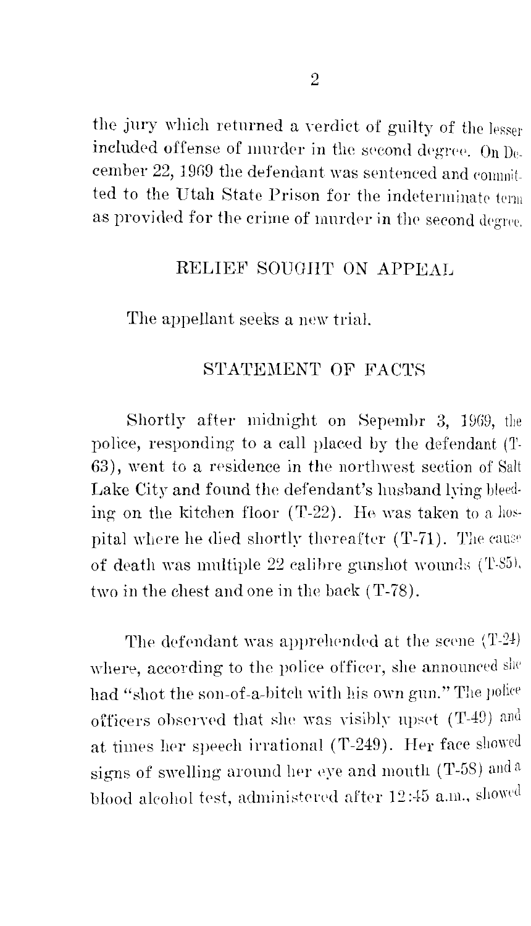the jury which returned a verdict of guilty of the lesser included offense of murder in the second degree. On  $D_0$ . cember 22, 1969 the defendant was sentenced and commit. ted to the Utah State Prison for the indeterminate tenn as provided for the crime of murder in the second degree.

### RELIEF SOUGHT ON APPEAL

The appellant seeks a new trial.

#### STATEMENT OF FACTS

Shortly after midnight on Sepembr 3, 1969, the police, responding to a call placed by the defendant (T-63), went to a residence in the northwest section of Salt Lake City and found the defendant's husband lying bleed· ing on the kitchen floor  $(T-22)$ . He was taken to a hospital where he died shortly thereafter  $(T-71)$ . The cause of death was multiple 22 calibre gunshot wounds (T-S5). two in the chest and one in the back  $(T-78)$ .

The defendant was apprehended at the scene  $(T-24)$ where, according to the police officer, she announced she had "shot the son-of-a-bitch with his own gun." The police officers observed that she was visibly upset  $(T-49)$  and at times her speech irrational (T-249). Her face showed signs of swelling around her eye and mouth (T-58) and a blood aleohol test, administered after 12:45 a.m., showed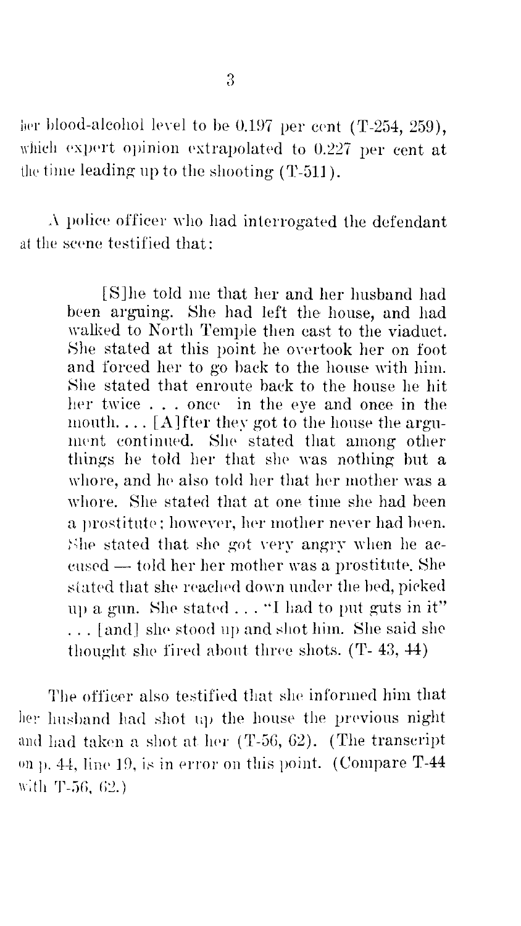her blood-alcohol level to be 0.197 per cent (T-254, 259), which expert opinion extrapolated to 0.227 per cent at the time leading up to the shooting  $(T-511)$ .

 $\Lambda$  police officer who had interrogated the defendant at the scene testified that:

> [S]he told me that her and her husband had heen arguing. She had left the house, and had walked to North Temple then east to the viaduct. She stated at this point he owrtook her on foot and forced her to go back to the house with him. Nhe stated that enroute back to the house he hit her twice . . . once in the eye and once in the mouth....  $[A]$  fter they got to the house the argument continued. She stated that among other things he told her that she was nothing but a whore, and he also told her that her mother was a whore. She stated that at one time she had heen a prostitute; howeyer, her mother never had been. She stated that she got very angry when he aceused - told her her mother was a prostitute. She stated that she reached down under the bed, picked up a gun. She stated  $\dots$  "I had to put guts in it" ... [and] she stood up and shot him. She said she thought she fired about three shots.  $(T- 43, 44)$

The officer also testified that she informed him that her husband had shot up the house the previous night and had taken a shot at her  $(T-56, 62)$ . (The transcript on p. 44, line 19, is in error on this point. (Compare  $T-44$ with T-56,  $62$ .)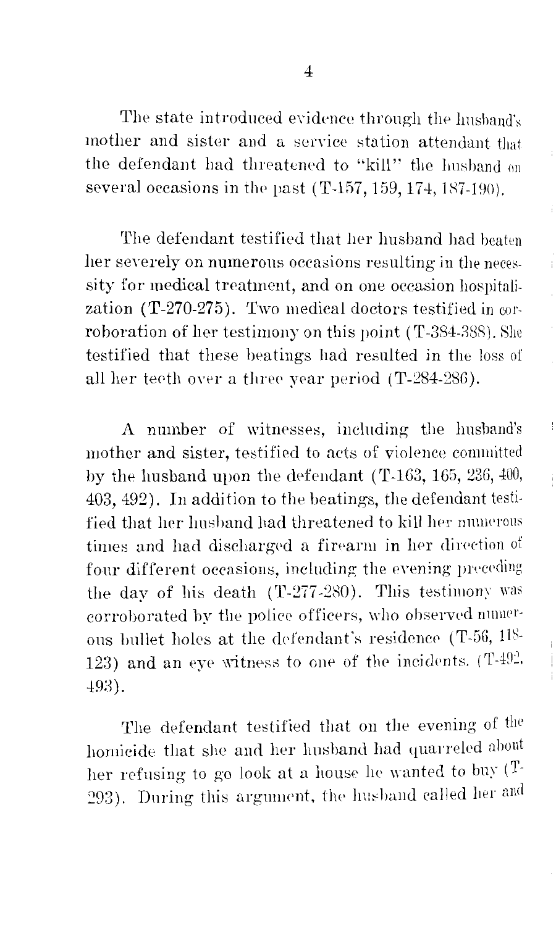The state introduced evidence through the husband's mother and sister and a service station attendant that the defendant had threatened to "kill" the husband on several occasions in the past (T-157, 159, 174, 187-190).

Ť

The defendant testified that her husband had beaten her severely on numerous occasions resulting in the necessity for medical treatment, and on one occasion hospitalization (T-270-275). Two medical doctors testified in corroboration of her testimony on this point (T-384-388). She testified that these heatings had resulted in the loss of all her teeth over a three year period (T-284-286).

A number of witnesses, induding the husband's mother and sister, testified to acts of violence committed by the husband upon the defendant (T-163, 165, 236,  $400$ , 403, 492). In addition to the beatings, the defendant testified that her husband had threatened to kill her numerous times and had discharged a firearm in her direction of four different occasions, including the evening preceding the day of his death (T-277-280). This testimony was corroborated by the police officers, who observed numerous bullet holes at the defendant's residence (T-56,  $118$ -123) and an eye witness to one of the incidents.  $(T-492)$ .  $493$ ).

The defendant testified that on the evening of the homicide tliat she and her husband had quarreled ahont her refusing to go look at a house he wanted to buy  $(T-$ 293). During this argument, the husband called her and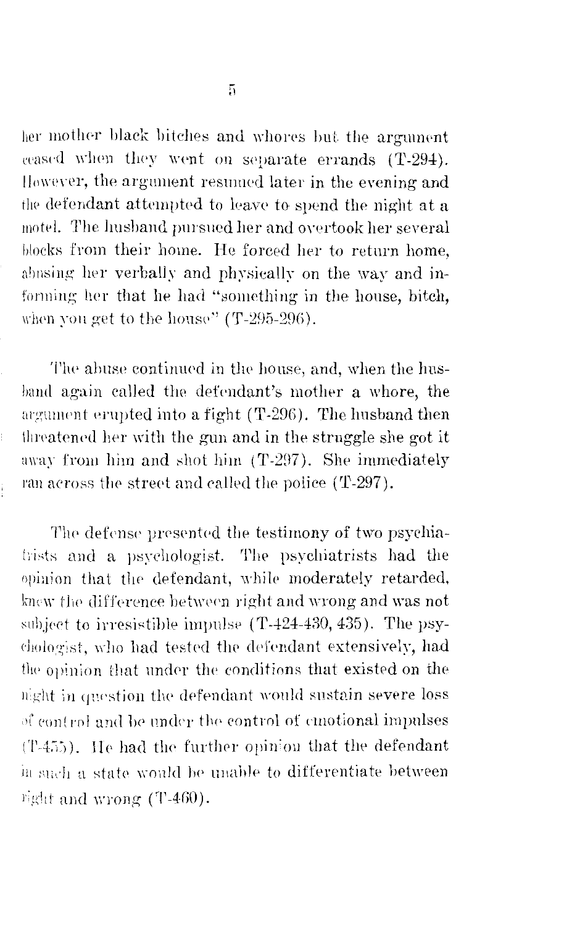her mother black bitches and whores but the argument ceased when they went on separate errands (T-294). However, the argument resumed later in the evening and the defendant attempted to leave to spend the night at a motel. The husband pursued her and overtook her several blocks from their home. He forced her to return home, abusing her verbally and physically on the way and informing her that he had "something in the house, bitch, when you get to the house" (T-295-296).

The abuse continued in the house, and, when the husband again called the defendant's mother a whore, the argument erupted into a fight (T-296). The husband then threatened her with the gun and in the struggle she got it away from him and shot him (T-297). She immediately ran across the street and called the police (T-297).

ţ.

Î.

The defense presented the testimony of two psychiatrists and a psychologist. The psychiatrists had the opinion that the defendant, while moderately retarded, knew the difference between right and wrong and was not subject to irresistible impulse (T-424-430, 435). The psychologist, who had tested the defendant extensively, had the opinion that under the conditions that existed on the night in question the defendant would sustain severe loss of control and be under the control of emotional impulses (T-455). He had the further opinion that the defendant in such a state would be unable to differentiate between right and wrong (T-460).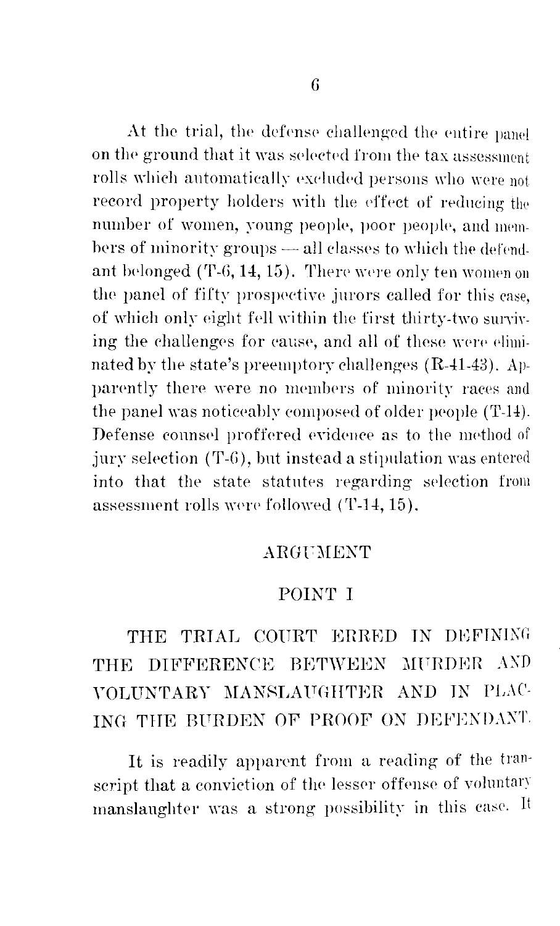At the trial, the defense challenged the entire panel on the ground that it was selected from the tax assessment rolls which automatically excluded persons who were not record property holders with the effect of reducing the number of women, young people, poor people, and members of minority groups — all classes to which the defendant belonged (T-6, 14, 15). There were only ten women on the panel of fifty prospective jurors called for this case. of which only eight fell within the first thirty-two surviving the challenges for cause, and all of these were eliminated by the state's preemptory challenges (R-41-43). Apparently there were no members of minority races and the panel was noticeably composed of older people (T-14). Defense counsel proffered evidence as to the method of jury selection (T-6), but instead a stipulation was entered into that the state statutes regarding selection from assessment rolls were followed (T-14, 15).

#### ARGUMENT

### POINT I

## THE TRIAL COURT ERRED IN DEFINING THE DIFFERENCE BETWEEN MURDER AND VOLUNTARY MANSLAUGHTER AND IN PLAC-ING THE BURDEN OF PROOF ON DEFENDANT.

It is readily apparent from a reading of the transcript that a conviction of the lesser offense of voluntary manslaughter was a strong possibility in this case. It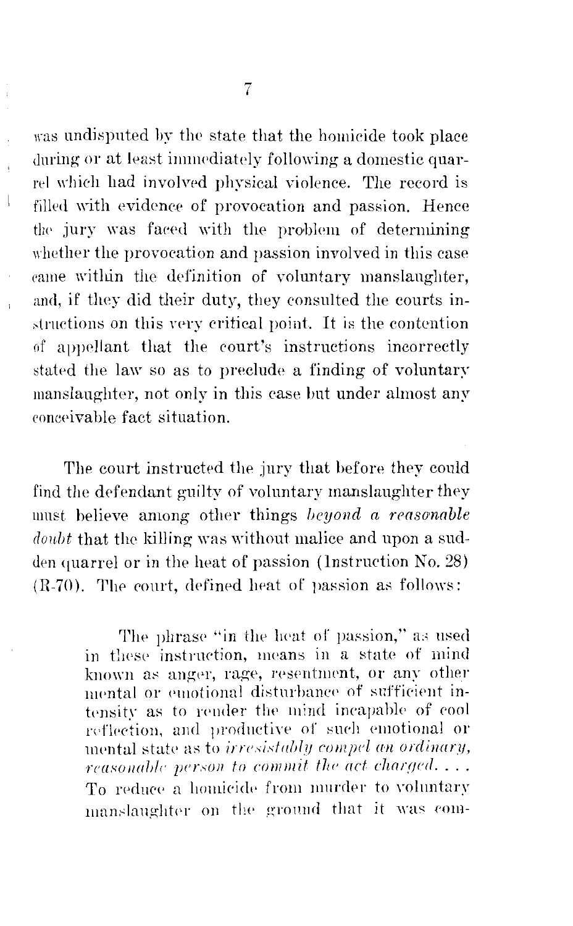was undisputed by the state that the homicide took place during or at least immediately following a domestic quarrel which had involved physical violence. The record is filled with evidence of provocation and passion. Hence the jury was faced with the problem of determining whether the provocation and passion involved in this case came within the definition of voluntary manslaughter, and, if they did their duty, they consulted the courts instructions on this very critical point. It is the contention of appellant that the court's instructions incorrectly stated the law so as to preclude a finding of voluntary manslaughter, not only in this case but under almost any conceivable fact situation.

 $\bigg\vert$ 

The court instructed the jury that before they could find the defendant guilty of voluntary manslaughter they must believe among other things beyond a reasonable doubt that the killing was without malice and upon a sudden quarrel or in the heat of passion (Instruction No. 28) (R-70). The court, defined heat of passion as follows:

> The phrase "in the heat of passion," as used in these instruction, means in a state of mind known as anger, rage, resentment, or any other mental or emotional disturbance of sufficient intensity as to render the mind incapable of cool reflection, and productive of such emotional or mental state as to *irresistably compel an ordinary*, reasonable person to commit the act charged.... To reduce a homicide from murder to voluntary manslaughter on the ground that it was com-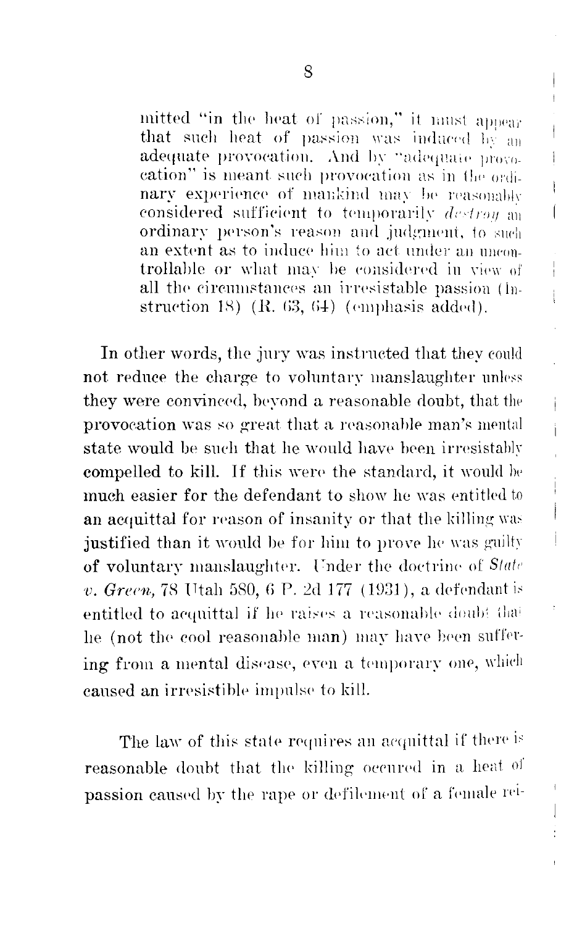mitted "in the heat of passion," it must appear that such heat of passion was induced by an adequate provocation. And by "adequate provocation" is meant such provocation as in the ordinary experience of mankind may be reasonably considered sufficient to temporarily destroy on ordinary person's reason and judgment, to such an extent as to induce him to act under an uncontrollable or what may be considered in view of all the circumstances an irresistable passion (Instruction  $18$ ) (R. 63, 64) (emphasis added).

 $\mathsf{f}$ 

 $\mathbf{1}$ 

 $\mathbf{I}$ 

Ť

ł

Ì.

İ

In other words, the jury was instructed that they could not reduce the charge to voluntary manslaughter unless they were convinced, beyond a reasonable doubt, that the provocation was so great that a reasonable man's mental state would be such that he would have been irresistably compelled to kill. If this were the standard, it would be much easier for the defendant to show he was entitled to an acquittal for reason of insanity or that the killing was justified than it would be for him to prove he was guilty of voluntary manslaughter. Under the doctrine of State v. Green, 78 Utah 580, 6 P. 2d 177 (1931), a defendant is entitled to acquittal if he raises a reasonable doubt that he (not the cool reasonable man) may have been suffering from a mental disease, even a temporary one, which caused an irresistible impulse to kill.

The law of this state requires an acquittal if there is reasonable doubt that the killing occured in a heat of passion caused by the rape or defilement of a female rei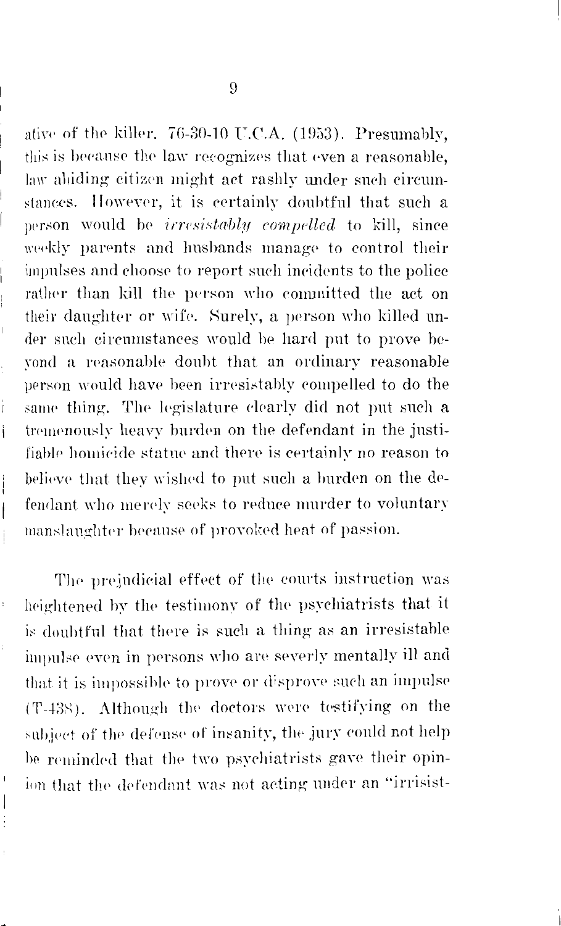ative of the killer, 76-30-10 U.C.A. (1953). Presumably, this is because the law recognizes that even a reasonable, law abiding citizen might act rashly under such circumstances. However, it is certainly doubtful that such a person would be *irresistably compelled* to kill, since weekly parents and husbands manage to control their impulses and choose to report such incidents to the police rather than kill the person who committed the act on their daughter or wife. Surely, a person who killed under such circumstances would be hard put to prove bevond a reasonable doubt that an ordinary reasonable person would have been irresistably compelled to do the same thing. The legislature clearly did not put such a tremenously heavy burden on the defendant in the justifiable homicide statue and there is certainly no reason to believe that they wished to put such a burden on the defendant who merely seeks to reduce murder to voluntary manslaughter because of provoked heat of passion.

 $\ddot{\phantom{0}}$ 

i.

j.

 $\overline{\phantom{a}}$ 

 $\ddot{\phantom{0}}$ 

 $\mathfrak{f}$  $\begin{array}{c} \end{array}$ ÷

The prejudicial effect of the courts instruction was heightened by the testimony of the psychiatrists that it is doubtful that there is such a thing as an irresistable impulse even in persons who are severly mentally ill and that it is impossible to prove or disprove such an impulse (T-438). Although the doctors were testifying on the subject of the defense of insanity, the jury could not help be reminded that the two psychiatrists gave their opinion that the defendant was not acting under an "irrisist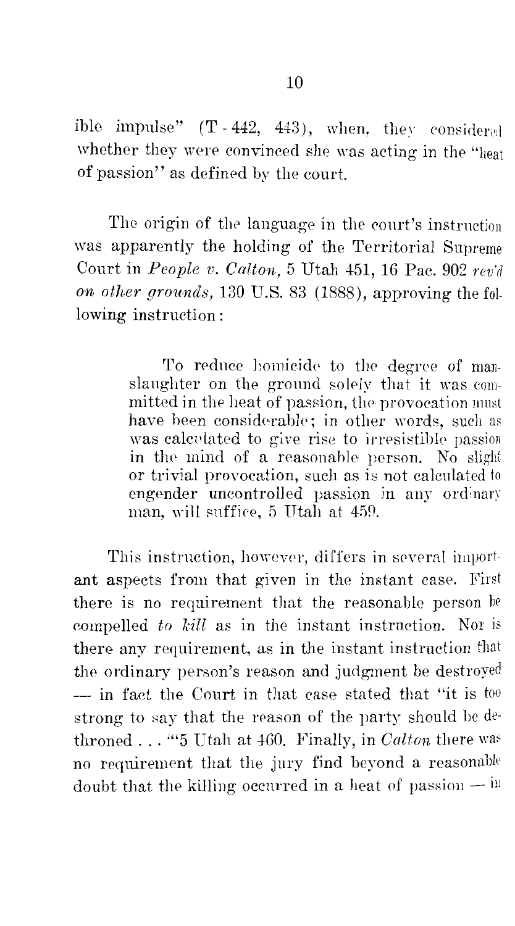ible impulse"  $(T-442, 443)$ , when, they considered whether they were convinced she was acting in the "heat of passion'' as defined by the court

The origin of the language in the court's instruction was apparently the holding of the Territorial Supreme Court in *People v. Calton*, 5 Utah 451, 16 Pac. 902 *rev'd on other grounds,* 130 U.S. 83 (1888), approving the following instruction:

> To reduce homicide to the degree of manslaughter on the ground solely that it was committed in the heat of passion, the provocation must have been considerable; in other words, such as was calculated to give rise to irresistible passion in the mind of a reasonable person. No slight or trivial provocation, such as is not calculated to engender uncontrolled passion in any ordinary man, will snffiee, 5 Utah at 450.

This instruction, however, differs in several important aspects from that given in the instant case. First there is no requirement that the reasonable person be connelled *to kill* as in the instant instruction. Nor is there any requirement, as in the instant instruction that the ordinary person's reason and judgment be destroyed - in fact the Court in that case stated that "it is too strong to say that the reason of the party should be dethroned . . . ""5 Utah at 460. Finally, in *Calton* there was no requirement that the jury find beyond a reasonable doubt that the killing occurred in a heat of passion  $-$  in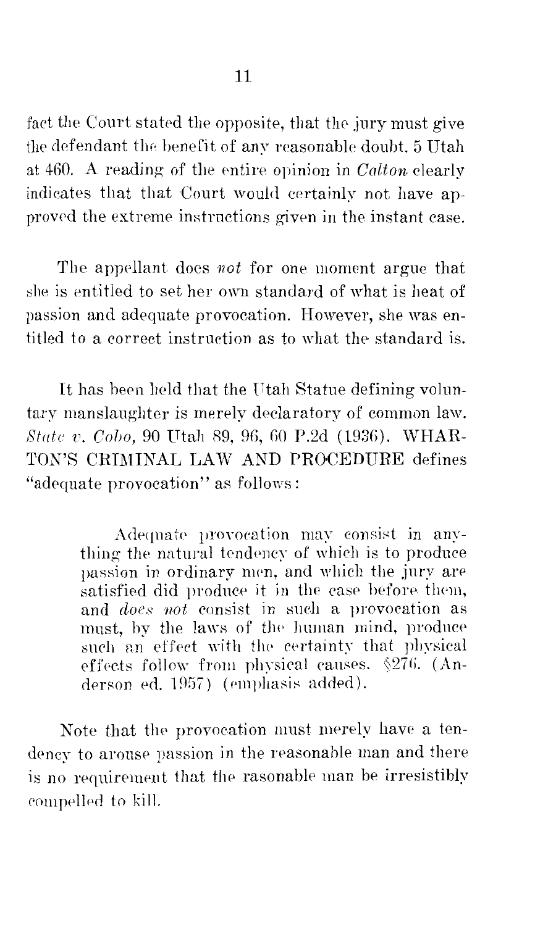fact the Court stated the opposite, that the jury must give the defendant the benefit of any reasonable doubt. 5 Utah at 460. A reading of the entire opinion in *Calton* clearly indicates that that Court would certainly not have approved the extreme instructions given in the instant case.

The appellant does *not* for one moment argue that she is entitled to set her own standard of what is heat of passion and adequate provocation. However, she was entitled to a correct instruction as to what the standard is.

It has been held that the Utah Statue defining voluntary manslaughter is merely declaratory of common law. *State v. Cobo,* 90 Utah 89, 96, 60 P.2d (1936). WHAR-TON'S CRIMINAL LAW AND PROCEDURE defines "adequate provocation" as follows:

> Adequate provocation may consist in anything the natural tendency of which is to produce passion in ordinary men, and which the jury are satisfied did produce it in the case before them, and *does not* consist in such a provocation as must, by the laws of the human mind, produce such an effect with the certainty that physical effects follow from physical causes.  $\sqrt{27}$ 6. (Anderson ed. 1957) (emphasis added).

Note that the provocation must merely have a tendency to arouse passion in the reasonable man and there is no requirement that the rasonable man be irresistibly compelled to kill.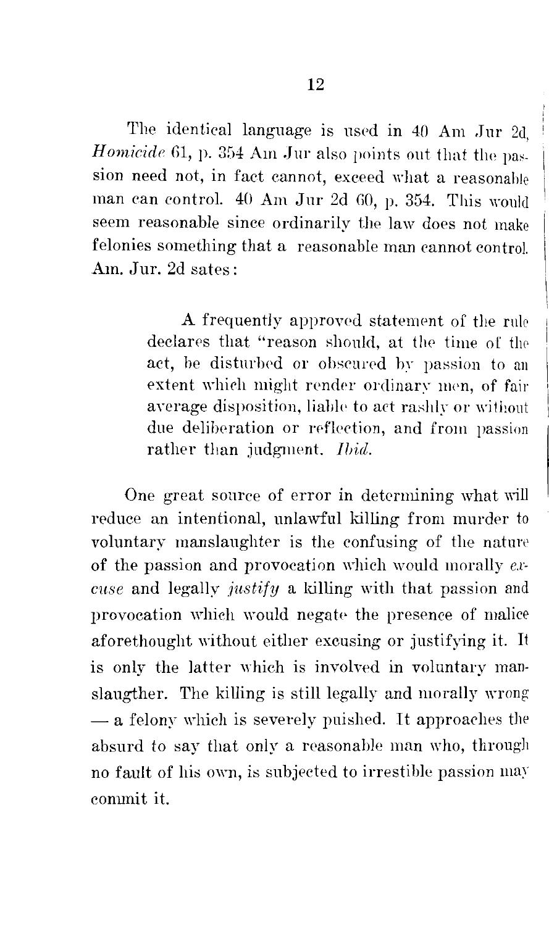The identical language is used in 40 Am Jur 2d *Homicide* 61, p. 354 Am Jur also points out that the passion need not, in fact cannot, exceed what a reasonable man can control.  $40 \text{ Am Jur } 2d\,60$ , p. 354. This would seem reasonable since ordinarily the law does not make felonies something that a reasonable man cannot control. Am. Jur. 2d sates:

> A frequently approved statement of the rule declares that "reason should, at the time of the act, he disturbed or obscured by passion to an extent which might render ordinary men, of fair average disposition, liable to act rashly or without due deliberation or reflection, and from passion rather than judgment. *Ibid.*

One great source of error in determining what will reduce an intentional, unlawful killing from murder *to*  voluntary manslaughter is the confusing of the natun' of the passion and provocation which would morally  $ex$ *cuse* and legally *justify* a killing with that passion and provocation which would negate the presence of malice aforethought without either excusing or justifying it. It is only the latter which is involved in voluntary manslaugther. The killing is still legally and morally wrong  $-$  a felony which is severely puished. It approaches the absurd to say that only a reasonable man who, through no fault of his own, is subjected to irrestible passion may conunit it.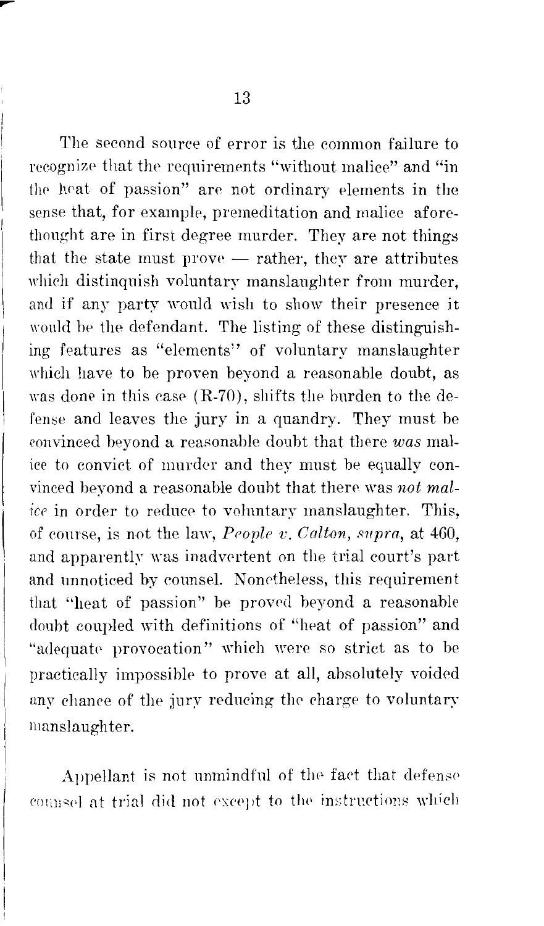The second source of error is the common failure to recognize that the requirements "without malice" and "in the heat of passion" are not ordinary elements in the sense that, for example, premeditation and malice aforethought are in first degree murder. They are not things that the state must prove  $-$  rather, they are attributes which distinquish voluntary manslaughter from murder. and if any party would wish to show their presence it would be the defendant. The listing of these distinguishing features as "elements" of voluntary manslaughter which have to be proven beyond a reasonable doubt, as was done in this case  $(R-70)$ , shifts the burden to the defense and leaves the jury in a quandry. They must be convinced beyond a reasonable doubt that there *was* malice to convict of murder and they must be equally convinced beyond a reasonable doubt that there was *not malice* in order to reduce to voluntary manslaughter. This, of course, is not the la\\', *Peoplr v. Calton, supra,* at 460, and apparently was inadvertent on the trial court's part and unnoticed by counsel. Nonetheless, this requirement that ''heat of passion" he proved beyond a reasonable doubt coupled with definitions of "heat of passion" and "adequate provocation" which were so strict as to be practically impossible to prove at all, absolutely voided any chance of the jury reducing the charge to voluntary manslaughter.

Appellant is not unmindful of the fact that defense counsel at trial did not except to the instructions which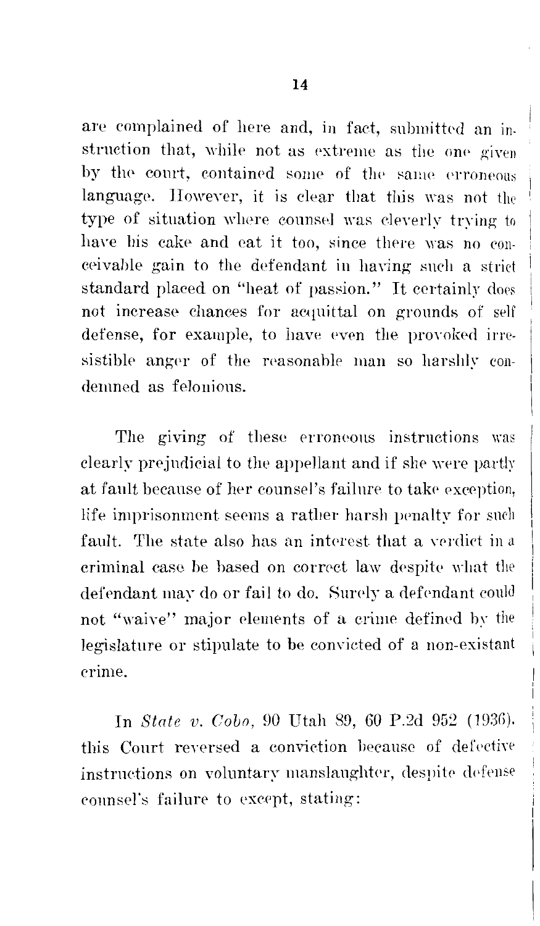are complained of here and, in fact, submitted an instruction that, while not as extreme as the one given by the court, contained some of the same erroneous language. However, it is clear that this was not the type of situation where counsel was cleverly trying to have his cake and eat it too, since there was no conceivable gain to the defendant in having such a strict standard placed on "heat of passion." It certainly does not increase chances for acquittal on grounds of self defense, for example, to have even the provoked irresistible anger of the reasonable man so harshly condemned as felonious.

The giving of these erroneous instructions was clearly prejudicial to the appellant and if she were partly at fault because of her counsel's failure to take exception, life imprisonment seems a rather harsh penalty for such fault. The state also has an interest that a verdict in criminal case be based on correct law despite what the defendant may do or fail to do. Surely a defendant could not "waive" major elements of a crime defined by the legislature or stipulate to be convicted of a non-existant erime.

In State v. Cobo, 90 Utah 89, 60 P.2d 952 (1936) this Court reversed a conviction because of defective instructions on voluntary manslaughter, despite defense counsel's failure to except, stating: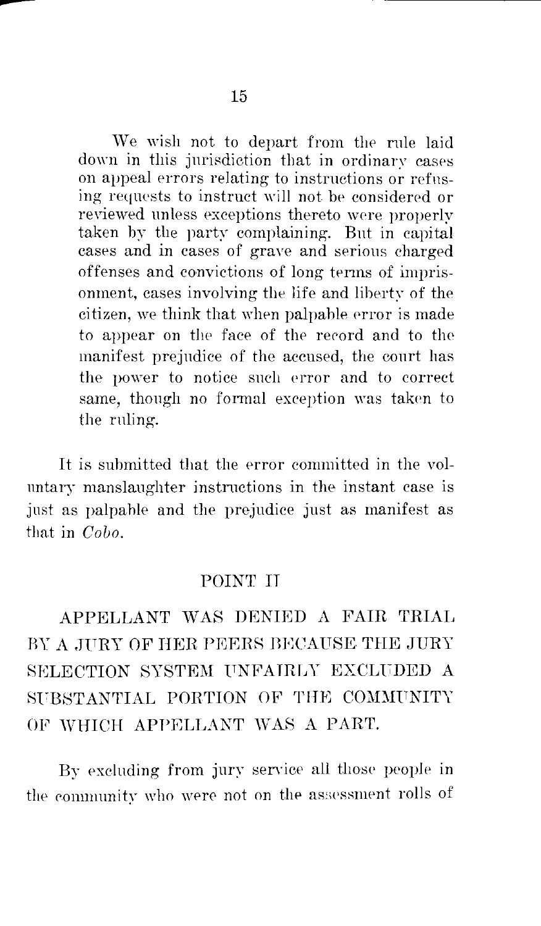vVe wish not to depart from the rnle laid down in this jurisdiction that in ordinary cases on appeal errors relating to instructions or refusing requests to instruct will not be considered or reviewed unless exceptions thereto were properly taken by the party complaining. But in capital cases and in cases of grave and serious charged offenses and convictions of long terms of imprisonment, cases involving the life and liberty of the citizen, we think that when palpable error is made to appear on the face of the rerord and *to* the manifest prejudice of the accused, the court has the power to notice such error and to correct same, though no formal exception was taken to the ruling.

It is submitted that the error committed in the volnntary manslaughter instructions in the instant case is jnst as palpable and the prejudice just as manifest as that in *Cobo*.

#### POINT IT

APPELLANT WAS DENIED A FAIR TRIAL BY A JURY OF HER PEERS BECAUSE THE JURY SELECTION SYSTEM UNFAIRLY EXCLUDED A SUBSTANTIAL PORTION OF THE COMMUNITY OF WHICH APPELLANT WAS A PART.

By excluding from jury service all those people in the community who were not on the assessment rolls of

--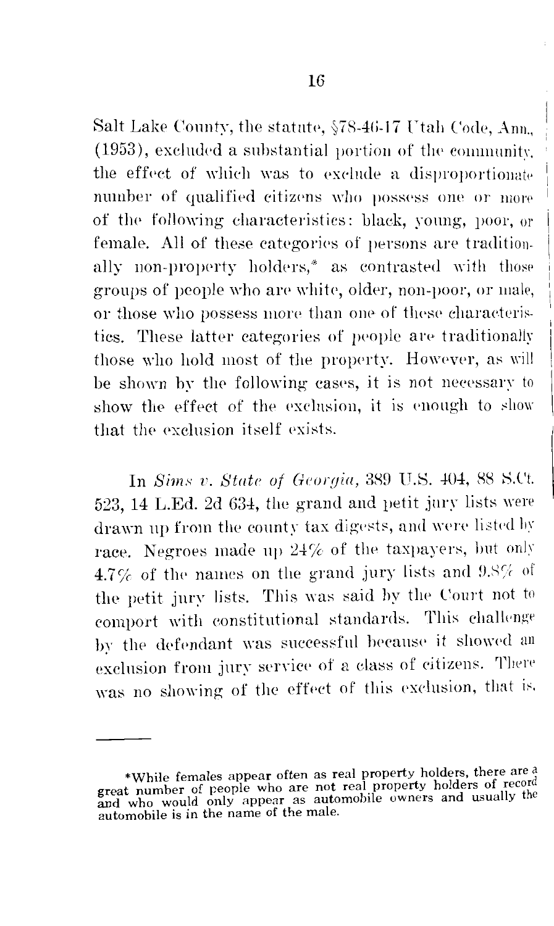Salt Lake County, the statute, §78-46-17 Utah Code, Ann. (1953), excluded a substantial portion of the community. the effect of which was to exclude a disproportionate number of qualified citizens who possess one or more of the following characteristics: black, young, poor, or female. All of these categories of persons are traditionally non-property holders,\* as contrasted with those groups of people who are white, older, non-poor, or male, or those who possess more than one of these characteristics. These latter categories of people are traditionally those who hold most of the property. However, as will be shown by the following cases, it is not necessary to show the effect of the exclusion, it is enough to show that the exclusion itself exists.

In Sims v. State of Georgia, 389 U.S. 404, 88 S.Ct. 523, 14 L.Ed. 2d 634, the grand and petit jury lists were drawn up from the county tax digests, and were listed by race. Negroes made up 24% of the taxpayers, but only 4.7% of the names on the grand jury lists and 9.8% of the petit jury lists. This was said by the Court not to comport with constitutional standards. This challenge by the defendant was successful because it showed an exclusion from jury service of a class of citizens. There was no showing of the effect of this exclusion, that is.

<sup>\*</sup>While females appear often as real property holders, there are a great number of people who are not real property holders of record and who would only appear as automobile owners and usually the automobile is in the name of the male.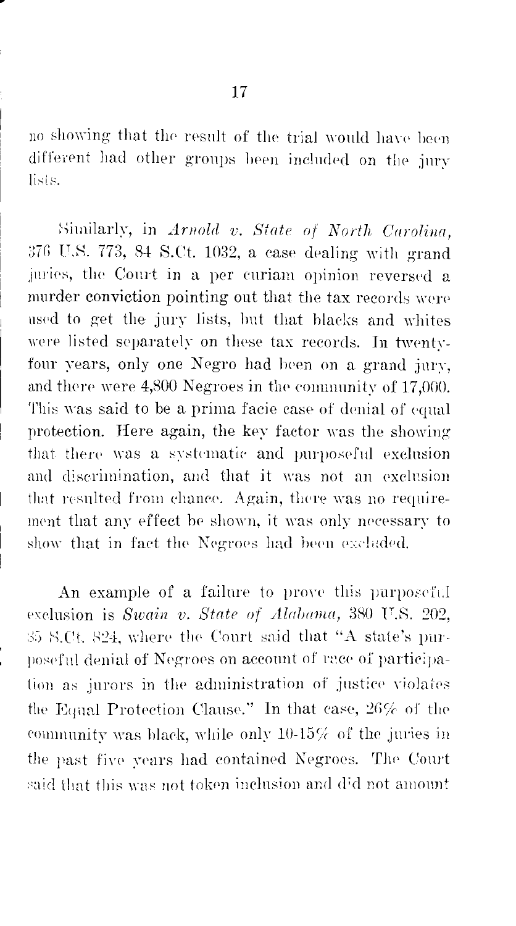no showing that the result of the trial would have been different had other groups been included on the jury lists.

Similarly, in Arnold v. State of North Carolina, 376 U.S. 773, 84 S.Ct. 1032, a case dealing with grand juries, the Court in a per curiam opinion reversed a murder conviction pointing out that the tax records were used to get the jury lists, but that blacks and whites were listed separately on these tax records. In twentyfour years, only one Negro had been on a grand jury, and there were 4,800 Negroes in the community of 17,000. This was said to be a prima facie case of denial of equal protection. Here again, the key factor was the showing that there was a systematic and purposeful exclusion and discrimination, and that it was not an exclusion that resulted from chance. Again, there was no requirement that any effect be shown, it was only necessary to show that in fact the Negroes had been excluded.

An example of a failure to prove this purposeful exclusion is Swain v. State of Alabama, 380 U.S. 202, \$5 S.Ct. 824, where the Court said that "A state's purposeful denial of Negroes on account of race of participation as jurors in the administration of justice violates the Equal Protection Clause." In that case, 26% of the community was black, while only  $10-15\%$  of the juries in the past five years had contained Negroes. The Court said that this was not token inclusion and did not amount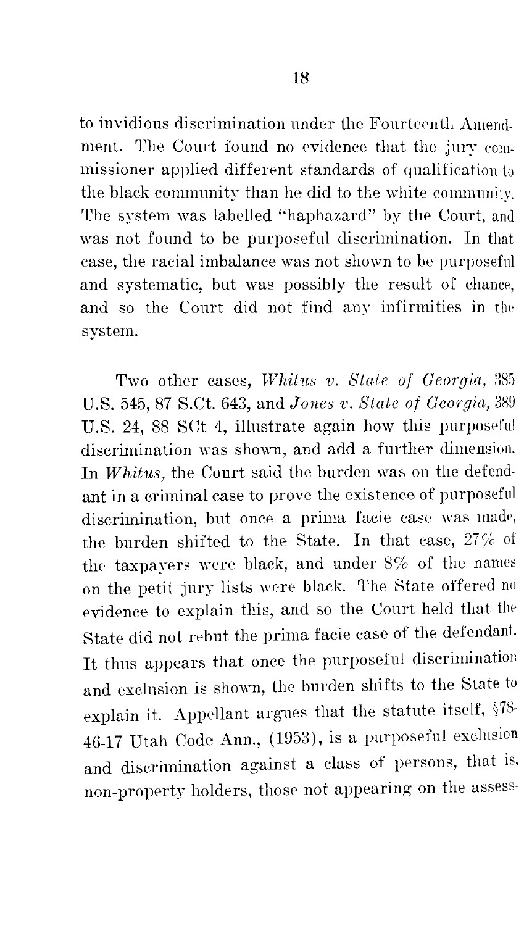to invidious discrimination under the Fourteenth Amendment. The Court found no evidence that the jury commissioner applied different standards of qualification to the black community than he did to the white community. The system was labelled "haphazard" by the Court, and was not found to be purposeful discrimination. In that case, the racial imbalance was not shown *to* be purposeful and systematic, but was possibly the result of chance, and so the Court did not find any infirmities in the system.

Two other cases, *Whitns v. State of Georgia,* 385 U.S. 545, 87 S.Ct. 643, and *Jones v. State of Georgia,* 389 U.S. 24, 88 SCt 4, illustrate again how this purposeful discrimination was shown, and add a further dimension. In *Whitus*, the Court said the burden was on the defendant in a criminal case to prove the existence of purposeful discrimination, but once a prima facie case was made, the burden shifted to the State. In that case,  $27%$  of the taxpayers were black, and under  $8\%$  of the names on the petit jury lists were black. The State offered no evidence to explain this, and so the Court held that the State did not rebut the prima facie case of the defendant. It thus appears that once the purposeful discrimination and exclusion is shown, the burden shifts *to* the State to explain it. Appellant argues that the statute itself,  $$78$ -46-17 Utah Code Ann., (1953), is a purposeful exclusion and discrimination against a class of persons, that is. non-property holders, those not appearing on the assess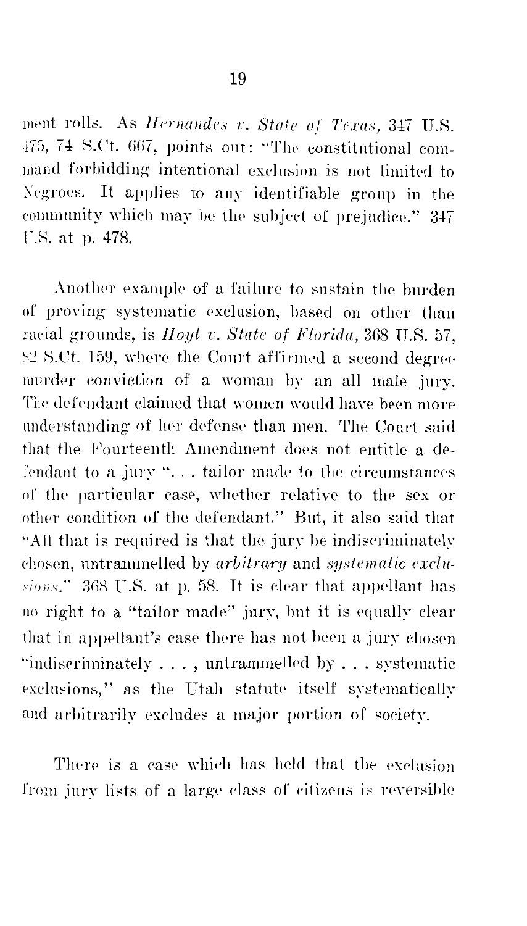ment rolls. As Hernandes v. State of Texas, 347 U.S. 475, 74 S.Ct. 667, points out: "The constitutional command forbidding intentional exclusion is not limited to Negroes. It applies to any identifiable group in the community which may be the subject of prejudice." 347 U.S. at p. 478.

Another example of a failure to sustain the burden of proving systematic exclusion, based on other than racial grounds, is *Hout v. State of Florida*, 368 U.S. 57. 82 S.Ct. 159, where the Court affirmed a second degree murder conviction of a woman by an all male jury. The defendant claimed that women would have been more understanding of her defense than men. The Court said that the Fourteenth Amendment does not entitle a defendant to a jury "... tailor made to the circumstances of the particular case, whether relative to the sex or other condition of the defendant." But, it also said that "All that is required is that the jury be indiscriminately chosen, untrammelled by arbitrary and systematic exclusions." 368 U.S. at p. 58. It is clear that appellant has no right to a "tailor made" jury, but it is equally clear that in appellant's case there has not been a jury chosen "indiscriminately ..., untrammelled by ... systematic exclusions," as the Utah statute itself systematically and arbitrarily excludes a major portion of society.

There is a case which has held that the exclusion from jury lists of a large class of citizens is reversible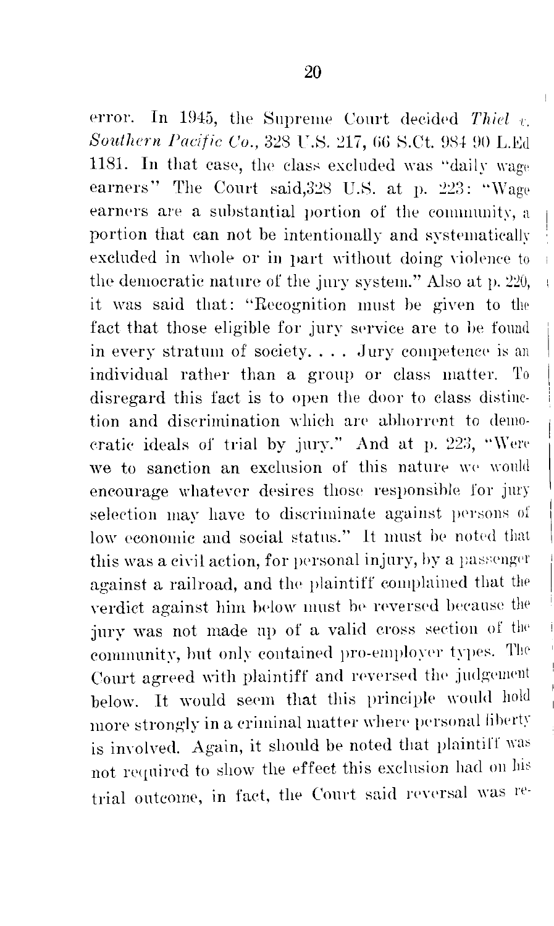error. In 1945, the Supreme Court decided Thiel  $v$ . Southern Pacific Co., 328 U.S. 217, 66 S.Ct. 984 90 L.Ed 1181. In that case, the class excluded was "daily wage earners" The Court said, 328 U.S. at p. 223: "Wage earners are a substantial portion of the community, a portion that can not be intentionally and systematically excluded in whole or in part without doing violence to the democratic nature of the jury system." Also at p. 220, it was said that: "Recognition must be given to the fact that those eligible for jury service are to be found in every stratum of society.... Jury competence is an individual rather than a group or class matter. To disregard this fact is to open the door to class distinction and discrimination which are abhorrent to demoeratic ideals of trial by jury." And at p. 223, "Were we to sanction an exclusion of this nature we would encourage whatever desires those responsible for jury selection may have to discriminate against persons of low economic and social status." It must be noted that this was a civil action, for personal injury, by a passenger against a railroad, and the plaintiff complained that the verdict against him below must be reversed because the jury was not made up of a valid cross section of the community, but only contained pro-employer types. The Court agreed with plaintiff and reversed the judgement below. It would seem that this principle would hold more strongly in a criminal matter where personal liberty is involved. Again, it should be noted that plaintiff was not required to show the effect this exclusion had on his

trial outcome, in fact, the Court said reversal was re-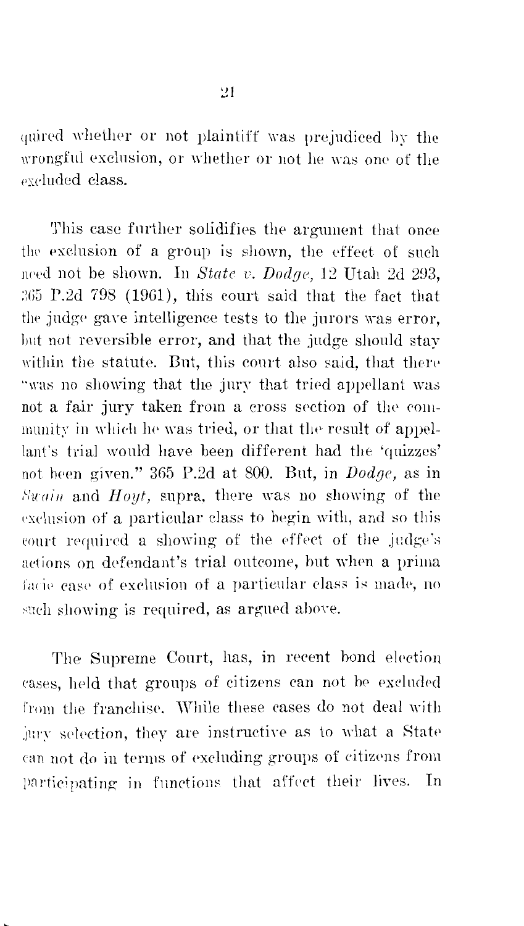quired whether or not plaintiff was prejudiced by the wrongful exclusion, or whether or not he was one of the eveluded class.

This case further solidifies the argument that once the exclusion of a group is shown, the effect of such need not be shown. In State v. Dodge, 12 Utah 2d 293, 365 P.2d 798 (1961), this court said that the fact that the judge gave intelligence tests to the jurors was error, but not reversible error, and that the judge should stay within the statute. But, this court also said, that there "was no showing that the jury that tried appellant was not a fair jury taken from a cross section of the community in which he was tried, or that the result of appellant's trial would have been different had the 'quizzes' not been given." 365 P.2d at 800. But, in *Dodge*, as in Swain and Hoyt, supra, there was no showing of the exclusion of a particular class to begin with, and so this court required a showing of the effect of the judge's actions on defendant's trial outcome, but when a prima facie case of exclusion of a particular class is made, no such showing is required, as argued above.

The Supreme Court, has, in recent bond election cases, held that groups of citizens can not be excluded from the franchise. While these cases do not deal with jury selection, they are instructive as to what a State can not do in terms of excluding groups of citizens from participating in functions that affect their lives. In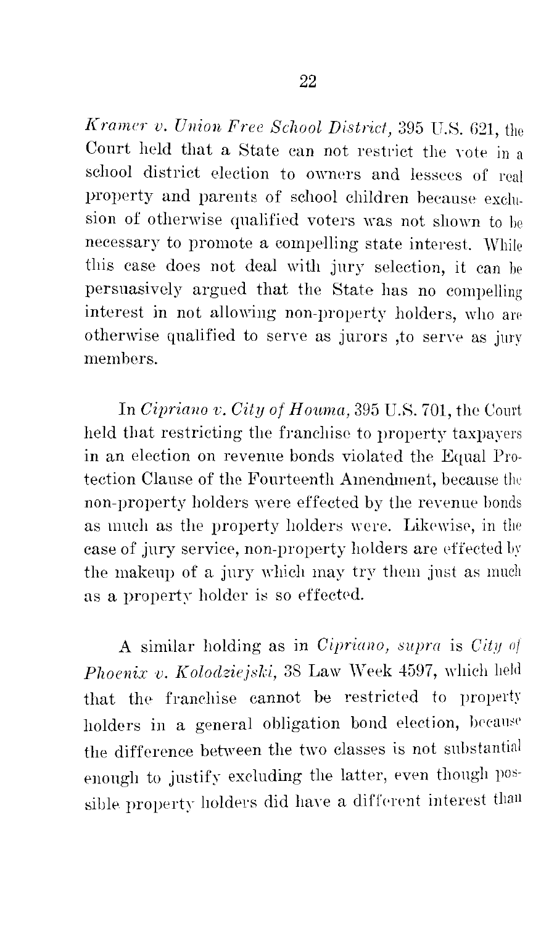*Kramer v. Union Free School District,* 395 U.8. G21, the Court held that a State can not restrict the vote in a school district election to owners and lessees of real property and parents of school children because exclusion of otherwise qualified voters was not shown to be necessary to promote a compelling state interest. While this case does not deal with jury selection, it can he persuasively argued that the State has no compelling interest in not allowing non-property holders, who are otherwise qualified to serve as jurors ,to as jury members.

In *Cipriano v. City of Houma*, 395 U.S. 701, the Court held that restricting the franchise to property taxpayers in an election on revenue bonds violated the Equal Protection Clause of the Fourteenth Amendment, because the non-property holders were effected by the revenue bonds as much as the property holders were. Likewise, in the case of jury service, non-property holders are effected by the makeup of a jury which may try them just as much as a property holder is so effected.

A similar holding as in *Cipriano, supra* is *City oj*  Phoenix v. Kolodziejski, 38 Law Week 4597, which held that the franchise cannot be restricted to property holders in a general obligation bond election, because the difference between the two classes is not substantial enough to justify excluding the latter, even though possible property holders did have a different interest than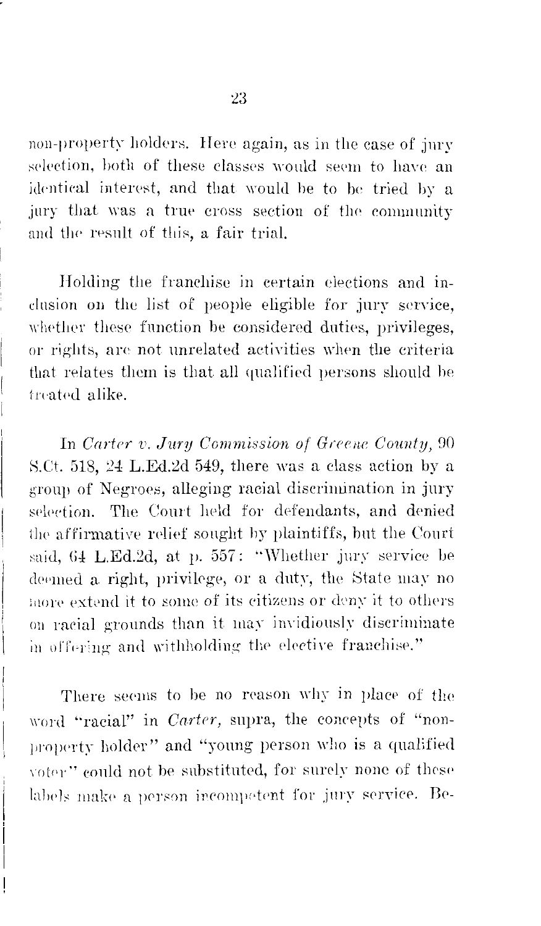non-property holders. Here again, as in the case of jury selection, both of these classes would seem to have an identical interest, and that would be to be tried by a jury that was a true cross section of the community and the result of this, a fair trial.

Holding the franchise in certain elections and inclusion on the list of people eligible for jury service, whether these function be considered duties, privileges, or rights, are not unrelated activities when the criteria that relates them is that all qualified persons should be treated alike.

In Carter v. Jury Commission of Greene County, 90 S.Ct. 518, 24 L.Ed.2d 549, there was a class action by a group of Negroes, alleging racial discrimination in jury selection. The Court held for defendants, and denied the affirmative relief sought by plaintiffs, but the Court said, 64 L.Ed.2d, at p. 557: "Whether jury service be deemed a right, privilege, or a duty, the State may no more extend it to some of its citizens or deny it to others on racial grounds than it may invidiously discriminate in offering and withholding the elective franchise."

There seems to be no reason why in place of the word "racial" in *Carter*, supra, the concepts of "nonproperty holder" and "young person who is a qualified voter" could not be substituted, for surely none of these labels make a person incompetent for jury service. Be-